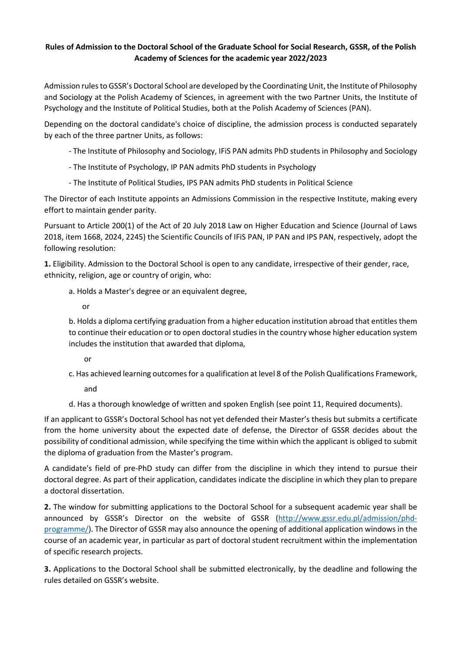## **Rules of Admission to the Doctoral School of the Graduate School for Social Research, GSSR, of the Polish Academy of Sciences for the academic year 2022/2023**

Admission rules to GSSR's Doctoral School are developed by the Coordinating Unit, the Institute of Philosophy and Sociology at the Polish Academy of Sciences, in agreement with the two Partner Units, the Institute of Psychology and the Institute of Political Studies, both at the Polish Academy of Sciences (PAN).

Depending on the doctoral candidate's choice of discipline, the admission process is conducted separately by each of the three partner Units, as follows:

- The Institute of Philosophy and Sociology, IFiS PAN admits PhD students in Philosophy and Sociology
- The Institute of Psychology, IP PAN admits PhD students in Psychology
- The Institute of Political Studies, IPS PAN admits PhD students in Political Science

The Director of each Institute appoints an Admissions Commission in the respective Institute, making every effort to maintain gender parity.

Pursuant to Article 200(1) of the Act of 20 July 2018 Law on Higher Education and Science (Journal of Laws 2018, item 1668, 2024, 2245) the Scientific Councils of IFiS PAN, IP PAN and IPS PAN, respectively, adopt the following resolution:

**1.** Eligibility. Admission to the Doctoral School is open to any candidate, irrespective of their gender, race, ethnicity, religion, age or country of origin, who:

a. Holds a Master's degree or an equivalent degree,

or

b. Holds a diploma certifying graduation from a higher education institution abroad that entitles them to continue their education or to open doctoral studies in the country whose higher education system includes the institution that awarded that diploma,

- or
- c. Has achieved learning outcomes for a qualification at level 8 of the Polish Qualifications Framework,
	- and

d. Has a thorough knowledge of written and spoken English (see point 11, Required documents).

If an applicant to GSSR's Doctoral School has not yet defended their Master's thesis but submits a certificate from the home university about the expected date of defense, the Director of GSSR decides about the possibility of conditional admission, while specifying the time within which the applicant is obliged to submit the diploma of graduation from the Master's program.

A candidate's field of pre-PhD study can differ from the discipline in which they intend to pursue their doctoral degree. As part of their application, candidates indicate the discipline in which they plan to prepare a doctoral dissertation.

**2.** The window for submitting applications to the Doctoral School for a subsequent academic year shall be announced by GSSR's Director on the website of GSSR [\(http://www.gssr.edu.pl/admission/phd](http://www.gssr.edu.pl/admission/phd-programme/)[programme/\)](http://www.gssr.edu.pl/admission/phd-programme/). The Director of GSSR may also announce the opening of additional application windows in the course of an academic year, in particular as part of doctoral student recruitment within the implementation of specific research projects.

**3.** Applications to the Doctoral School shall be submitted electronically, by the deadline and following the rules detailed on GSSR's website.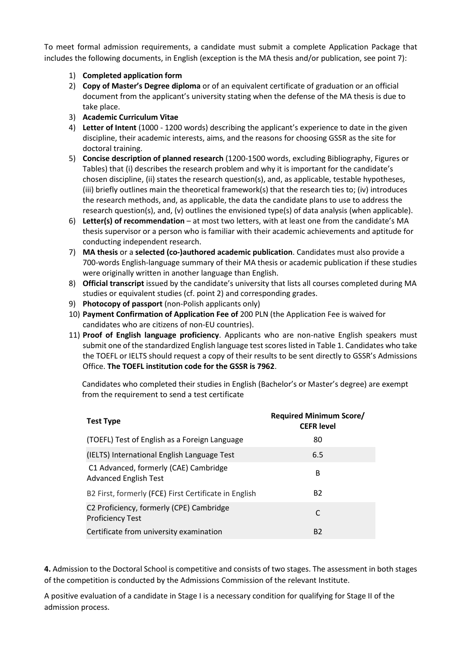To meet formal admission requirements, a candidate must submit a complete Application Package that includes the following documents, in English (exception is the MA thesis and/or publication, see point 7):

- 1) **Completed application form**
- 2) **Copy of Master's Degree diploma** or of an equivalent certificate of graduation or an official document from the applicant's university stating when the defense of the MA thesis is due to take place.
- 3) **Academic Curriculum Vitae**
- 4) **Letter of Intent** (1000 1200 words) describing the applicant's experience to date in the given discipline, their academic interests, aims, and the reasons for choosing GSSR as the site for doctoral training.
- 5) **Concise description of planned research** (1200-1500 words, excluding Bibliography, Figures or Tables) that (i) describes the research problem and why it is important for the candidate's chosen discipline, (ii) states the research question(s), and, as applicable, testable hypotheses, (iii) briefly outlines main the theoretical framework(s) that the research ties to; (iv) introduces the research methods, and, as applicable, the data the candidate plans to use to address the research question(s), and, (v) outlines the envisioned type(s) of data analysis (when applicable).
- 6) **Letter(s) of recommendation** at most two letters, with at least one from the candidate's MA thesis supervisor or a person who is familiar with their academic achievements and aptitude for conducting independent research.
- 7) **MA thesis** or a **selected (co-)authored academic publication**. Candidates must also provide a 700-words English-language summary of their MA thesis or academic publication if these studies were originally written in another language than English.
- 8) **Official transcript** issued by the candidate's university that lists all courses completed during MA studies or equivalent studies (cf. point 2) and corresponding grades.
- 9) **Photocopy of passport** (non-Polish applicants only)
- 10) **Payment Confirmation of Application Fee of** 200 PLN (the Application Fee is waived for candidates who are citizens of non-EU countries).
- 11) **Proof of English language proficiency**. Applicants who are non-native English speakers must submit one of the standardized English language test scores listed in Table 1. Candidates who take the TOEFL or IELTS should request a copy of their results to be sent directly to GSSR's Admissions Office. **The TOEFL institution code for the GSSR is 7962**.

Candidates who completed their studies in English (Bachelor's or Master's degree) are exempt from the requirement to send a test certificate

| <b>Test Type</b>                                                      | <b>Required Minimum Score/</b><br><b>CEFR level</b> |
|-----------------------------------------------------------------------|-----------------------------------------------------|
| (TOEFL) Test of English as a Foreign Language                         | 80                                                  |
| (IELTS) International English Language Test                           | 6.5                                                 |
| C1 Advanced, formerly (CAE) Cambridge<br><b>Advanced English Test</b> | B                                                   |
| B2 First, formerly (FCE) First Certificate in English                 | <b>B2</b>                                           |
| C2 Proficiency, formerly (CPE) Cambridge<br><b>Proficiency Test</b>   | C                                                   |
| Certificate from university examination                               | <b>B2</b>                                           |

**4.** Admission to the Doctoral School is competitive and consists of two stages. The assessment in both stages of the competition is conducted by the Admissions Commission of the relevant Institute.

A positive evaluation of a candidate in Stage I is a necessary condition for qualifying for Stage II of the admission process.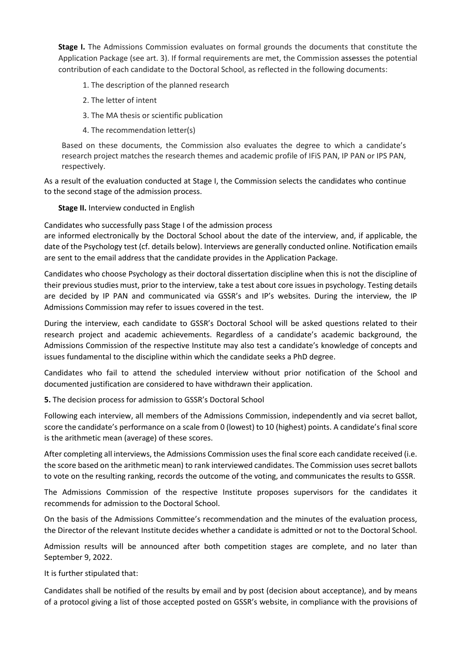**Stage I.** The Admissions Commission evaluates on formal grounds the documents that constitute the Application Package (see art. 3). If formal requirements are met, the Commission assesses the potential contribution of each candidate to the Doctoral School, as reflected in the following documents:

- 1. The description of the planned research
- 2. The letter of intent
- 3. The MA thesis or scientific publication
- 4. The recommendation letter(s)

Based on these documents, the Commission also evaluates the degree to which a candidate's research project matches the research themes and academic profile of IFiS PAN, IP PAN or IPS PAN, respectively.

As a result of the evaluation conducted at Stage I, the Commission selects the candidates who continue to the second stage of the admission process.

**Stage II.** Interview conducted in English

Candidates who successfully pass Stage I of the admission process

are informed electronically by the Doctoral School about the date of the interview, and, if applicable, the date of the Psychology test (cf. details below). Interviews are generally conducted online. Notification emails are sent to the email address that the candidate provides in the Application Package.

Candidates who choose Psychology as their doctoral dissertation discipline when this is not the discipline of their previous studies must, prior to the interview, take a test about core issues in psychology. Testing details are decided by IP PAN and communicated via GSSR's and IP's websites. During the interview, the IP Admissions Commission may refer to issues covered in the test.

During the interview, each candidate to GSSR's Doctoral School will be asked questions related to their research project and academic achievements. Regardless of a candidate's academic background, the Admissions Commission of the respective Institute may also test a candidate's knowledge of concepts and issues fundamental to the discipline within which the candidate seeks a PhD degree.

Candidates who fail to attend the scheduled interview without prior notification of the School and documented justification are considered to have withdrawn their application.

**5.** The decision process for admission to GSSR's Doctoral School

Following each interview, all members of the Admissions Commission, independently and via secret ballot, score the candidate's performance on a scale from 0 (lowest) to 10 (highest) points. A candidate's final score is the arithmetic mean (average) of these scores.

After completing all interviews, the Admissions Commission uses the final score each candidate received (i.e. the score based on the arithmetic mean) to rank interviewed candidates. The Commission uses secret ballots to vote on the resulting ranking, records the outcome of the voting, and communicates the results to GSSR.

The Admissions Commission of the respective Institute proposes supervisors for the candidates it recommends for admission to the Doctoral School.

On the basis of the Admissions Committee's recommendation and the minutes of the evaluation process, the Director of the relevant Institute decides whether a candidate is admitted or not to the Doctoral School.

Admission results will be announced after both competition stages are complete, and no later than September 9, 2022.

It is further stipulated that:

Candidates shall be notified of the results by email and by post (decision about acceptance), and by means of a protocol giving a list of those accepted posted on GSSR's website, in compliance with the provisions of